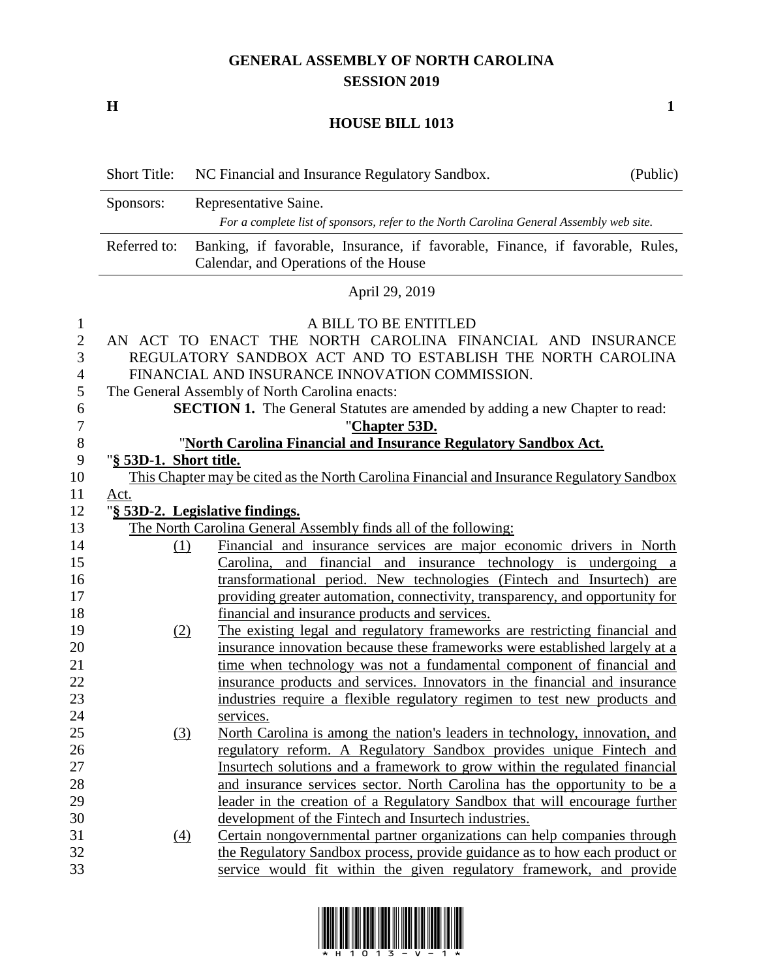## **GENERAL ASSEMBLY OF NORTH CAROLINA SESSION 2019**

**H 1**

## **HOUSE BILL 1013**

Short Title: NC Financial and Insurance Regulatory Sandbox. (Public) Sponsors: Representative Saine. *For a complete list of sponsors, refer to the North Carolina General Assembly web site.* Referred to: Banking, if favorable, Insurance, if favorable, Finance, if favorable, Rules, Calendar, and Operations of the House April 29, 2019 A BILL TO BE ENTITLED AN ACT TO ENACT THE NORTH CAROLINA FINANCIAL AND INSURANCE REGULATORY SANDBOX ACT AND TO ESTABLISH THE NORTH CAROLINA FINANCIAL AND INSURANCE INNOVATION COMMISSION. The General Assembly of North Carolina enacts: **SECTION 1.** The General Statutes are amended by adding a new Chapter to read: "**Chapter 53D.** "**North Carolina Financial and Insurance Regulatory Sandbox Act.** "**§ 53D-1. Short title.** This Chapter may be cited as the North Carolina Financial and Insurance Regulatory Sandbox Act. "**§ 53D-2. Legislative findings.** 13 The North Carolina General Assembly finds all of the following: (1) Financial and insurance services are major economic drivers in North Carolina, and financial and insurance technology is undergoing a transformational period. New technologies (Fintech and Insurtech) are providing greater automation, connectivity, transparency, and opportunity for financial and insurance products and services. (2) The existing legal and regulatory frameworks are restricting financial and insurance innovation because these frameworks were established largely at a 21 time when technology was not a fundamental component of financial and insurance products and services. Innovators in the financial and insurance industries require a flexible regulatory regimen to test new products and services. (3) North Carolina is among the nation's leaders in technology, innovation, and regulatory reform. A Regulatory Sandbox provides unique Fintech and Insurtech solutions and a framework to grow within the regulated financial and insurance services sector. North Carolina has the opportunity to be a leader in the creation of a Regulatory Sandbox that will encourage further development of the Fintech and Insurtech industries. (4) Certain nongovernmental partner organizations can help companies through the Regulatory Sandbox process, provide guidance as to how each product or service would fit within the given regulatory framework, and provide

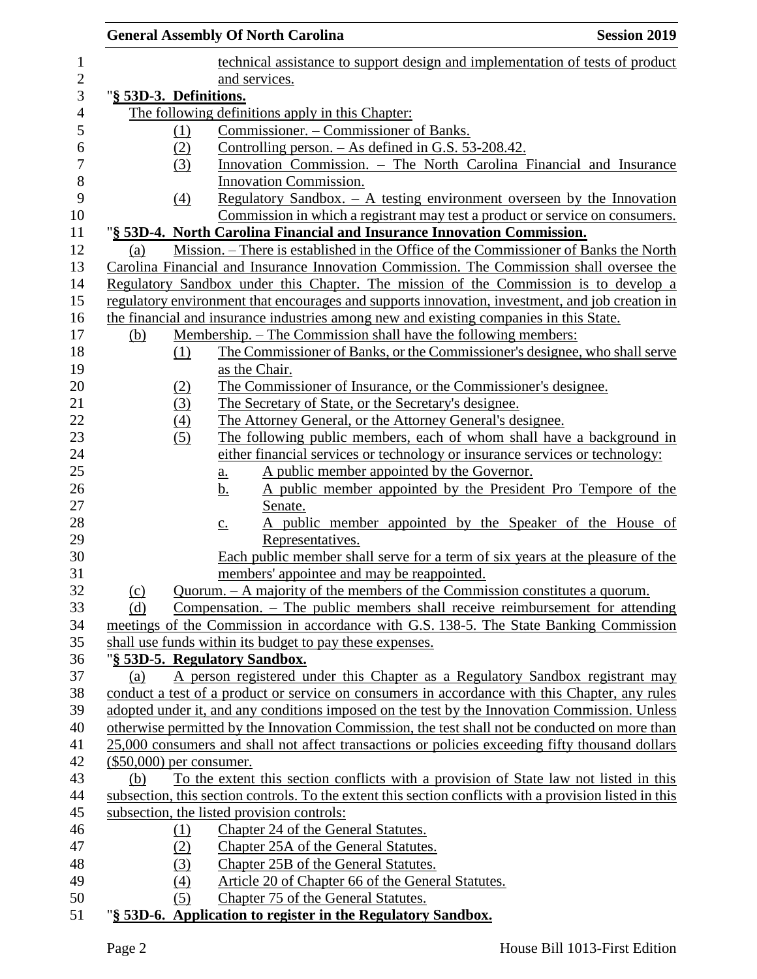|                            |                  | <b>General Assembly Of North Carolina</b>                                                |                  |                                            | <b>Session 2019</b>                                                                                     |
|----------------------------|------------------|------------------------------------------------------------------------------------------|------------------|--------------------------------------------|---------------------------------------------------------------------------------------------------------|
|                            |                  |                                                                                          |                  |                                            | technical assistance to support design and implementation of tests of product                           |
|                            |                  | and services.                                                                            |                  |                                            |                                                                                                         |
| "§ 53D-3. Definitions.     |                  |                                                                                          |                  |                                            |                                                                                                         |
|                            |                  | The following definitions apply in this Chapter:                                         |                  |                                            |                                                                                                         |
|                            | <u>(1)</u>       | Commissioner. - Commissioner of Banks.                                                   |                  |                                            |                                                                                                         |
|                            | (2)              | Controlling person. $-$ As defined in G.S. 53-208.42.                                    |                  |                                            |                                                                                                         |
|                            | (3)              |                                                                                          |                  |                                            | Innovation Commission. - The North Carolina Financial and Insurance                                     |
|                            |                  | Innovation Commission.                                                                   |                  |                                            |                                                                                                         |
|                            | $\left(4\right)$ |                                                                                          |                  |                                            | Regulatory Sandbox. $-$ A testing environment overseen by the Innovation                                |
|                            |                  |                                                                                          |                  |                                            | Commission in which a registrant may test a product or service on consumers.                            |
|                            |                  |                                                                                          |                  |                                            | "§ 53D-4. North Carolina Financial and Insurance Innovation Commission.                                 |
| (a)                        |                  |                                                                                          |                  |                                            | Mission. – There is established in the Office of the Commissioner of Banks the North                    |
|                            |                  |                                                                                          |                  |                                            | Carolina Financial and Insurance Innovation Commission. The Commission shall oversee the                |
|                            |                  |                                                                                          |                  |                                            | Regulatory Sandbox under this Chapter. The mission of the Commission is to develop a                    |
|                            |                  |                                                                                          |                  |                                            | regulatory environment that encourages and supports innovation, investment, and job creation in         |
|                            |                  |                                                                                          |                  |                                            | the financial and insurance industries among new and existing companies in this State.                  |
| (b)                        |                  |                                                                                          |                  |                                            | Membership. – The Commission shall have the following members:                                          |
|                            | (1)              |                                                                                          |                  |                                            | The Commissioner of Banks, or the Commissioner's designee, who shall serve                              |
|                            |                  | as the Chair.                                                                            |                  |                                            |                                                                                                         |
|                            | (2)              |                                                                                          |                  |                                            | The Commissioner of Insurance, or the Commissioner's designee.                                          |
|                            | (3)              | The Secretary of State, or the Secretary's designee.                                     |                  |                                            |                                                                                                         |
|                            | (4)              |                                                                                          |                  |                                            | The Attorney General, or the Attorney General's designee.                                               |
|                            | (5)              |                                                                                          |                  |                                            | The following public members, each of whom shall have a background in                                   |
|                            |                  |                                                                                          |                  |                                            | either financial services or technology or insurance services or technology:                            |
|                            |                  | <u>a.</u>                                                                                |                  | A public member appointed by the Governor. |                                                                                                         |
|                            |                  | <u>b.</u>                                                                                |                  |                                            | A public member appointed by the President Pro Tempore of the                                           |
|                            |                  | Senate.                                                                                  |                  |                                            |                                                                                                         |
|                            |                  | $\underline{c}$ .                                                                        |                  |                                            | A public member appointed by the Speaker of the House of                                                |
|                            |                  |                                                                                          | Representatives. |                                            |                                                                                                         |
|                            |                  |                                                                                          |                  |                                            | Each public member shall serve for a term of six years at the pleasure of the                           |
|                            |                  | members' appointee and may be reappointed.                                               |                  |                                            |                                                                                                         |
| (c)                        |                  |                                                                                          |                  |                                            | Quorum. – A majority of the members of the Commission constitutes a quorum.                             |
| (d)                        |                  |                                                                                          |                  |                                            | Compensation. $-$ The public members shall receive reimbursement for attending                          |
|                            |                  |                                                                                          |                  |                                            | meetings of the Commission in accordance with G.S. 138-5. The State Banking Commission                  |
|                            |                  | shall use funds within its budget to pay these expenses.                                 |                  |                                            |                                                                                                         |
|                            |                  | "§ 53D-5. Regulatory Sandbox.                                                            |                  |                                            |                                                                                                         |
| (a)                        |                  |                                                                                          |                  |                                            | A person registered under this Chapter as a Regulatory Sandbox registrant may                           |
|                            |                  |                                                                                          |                  |                                            | conduct a test of a product or service on consumers in accordance with this Chapter, any rules          |
|                            |                  |                                                                                          |                  |                                            | adopted under it, and any conditions imposed on the test by the Innovation Commission. Unless           |
|                            |                  |                                                                                          |                  |                                            | otherwise permitted by the Innovation Commission, the test shall not be conducted on more than          |
|                            |                  |                                                                                          |                  |                                            | 25,000 consumers and shall not affect transactions or policies exceeding fifty thousand dollars         |
| $(\$50,000)$ per consumer. |                  |                                                                                          |                  |                                            |                                                                                                         |
| (b)                        |                  |                                                                                          |                  |                                            | To the extent this section conflicts with a provision of State law not listed in this                   |
|                            |                  |                                                                                          |                  |                                            | subsection, this section controls. To the extent this section conflicts with a provision listed in this |
|                            |                  | subsection, the listed provision controls:                                               |                  |                                            |                                                                                                         |
|                            | (1)              | Chapter 24 of the General Statutes.                                                      |                  |                                            |                                                                                                         |
|                            | (2)              | Chapter 25A of the General Statutes.                                                     |                  |                                            |                                                                                                         |
|                            | (3)<br>(4)       | Chapter 25B of the General Statutes.                                                     |                  |                                            |                                                                                                         |
|                            | (5)              | Article 20 of Chapter 66 of the General Statutes.<br>Chapter 75 of the General Statutes. |                  |                                            |                                                                                                         |
|                            |                  | "§ 53D-6. Application to register in the Regulatory Sandbox.                             |                  |                                            |                                                                                                         |
|                            |                  |                                                                                          |                  |                                            |                                                                                                         |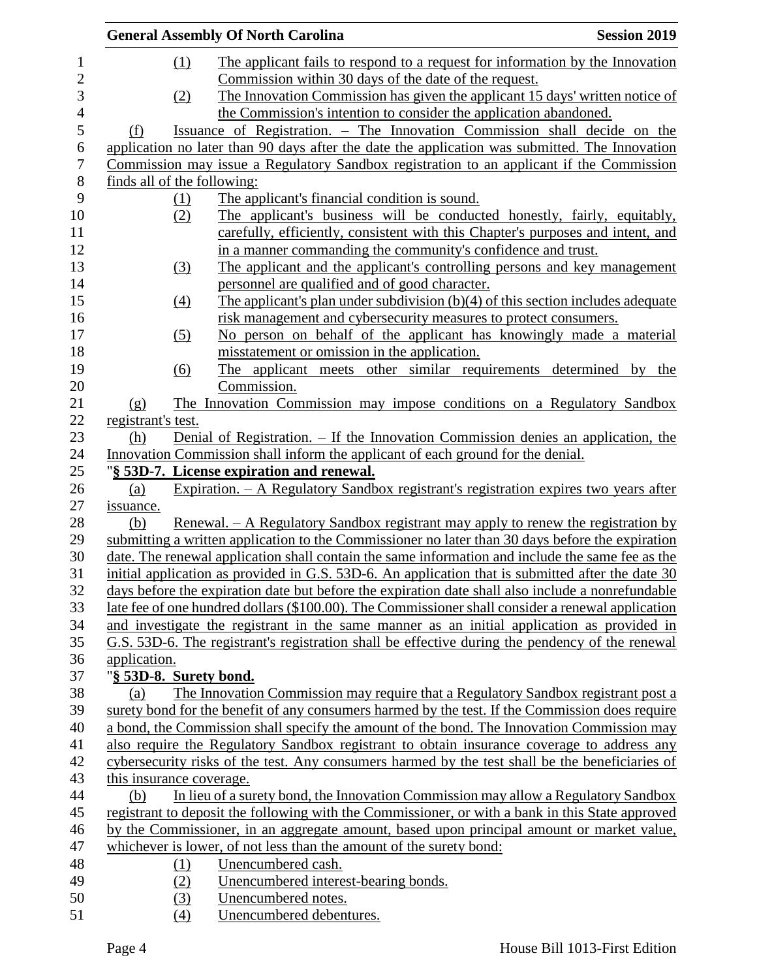|                          |                             | <b>General Assembly Of North Carolina</b>                                                         | <b>Session 2019</b> |
|--------------------------|-----------------------------|---------------------------------------------------------------------------------------------------|---------------------|
| $\mathbf{1}$             | (1)                         | The applicant fails to respond to a request for information by the Innovation                     |                     |
| $\sqrt{2}$               |                             | Commission within 30 days of the date of the request.                                             |                     |
| 3                        | (2)                         | The Innovation Commission has given the applicant 15 days' written notice of                      |                     |
| $\overline{\mathcal{L}}$ |                             | the Commission's intention to consider the application abandoned.                                 |                     |
| 5                        | (f)                         | Issuance of Registration. – The Innovation Commission shall decide on the                         |                     |
| 6                        |                             | application no later than 90 days after the date the application was submitted. The Innovation    |                     |
| $\boldsymbol{7}$         |                             | Commission may issue a Regulatory Sandbox registration to an applicant if the Commission          |                     |
| $8\,$                    | finds all of the following: |                                                                                                   |                     |
| 9                        | (1)                         | The applicant's financial condition is sound.                                                     |                     |
| 10                       | (2)                         | The applicant's business will be conducted honestly, fairly, equitably,                           |                     |
| 11                       |                             | carefully, efficiently, consistent with this Chapter's purposes and intent, and                   |                     |
| 12                       |                             | in a manner commanding the community's confidence and trust.                                      |                     |
| 13                       | (3)                         | The applicant and the applicant's controlling persons and key management                          |                     |
| 14                       |                             | personnel are qualified and of good character.                                                    |                     |
| 15                       | $\left(4\right)$            | The applicant's plan under subdivision $(b)(4)$ of this section includes adequate                 |                     |
| 16                       |                             | risk management and cybersecurity measures to protect consumers.                                  |                     |
| 17                       | (5)                         | No person on behalf of the applicant has knowingly made a material                                |                     |
| 18                       |                             | misstatement or omission in the application.                                                      |                     |
| 19                       | (6)                         | The applicant meets other similar requirements determined by the                                  |                     |
| 20                       |                             | Commission.                                                                                       |                     |
| 21                       | (g)                         | The Innovation Commission may impose conditions on a Regulatory Sandbox                           |                     |
| 22                       | registrant's test.          |                                                                                                   |                     |
| 23                       | (h)                         | Denial of Registration. – If the Innovation Commission denies an application, the                 |                     |
| 24                       |                             | Innovation Commission shall inform the applicant of each ground for the denial.                   |                     |
| 25                       |                             | "§ 53D-7. License expiration and renewal.                                                         |                     |
| 26                       | (a)                         | Expiration. - A Regulatory Sandbox registrant's registration expires two years after              |                     |
| 27                       | issuance.                   |                                                                                                   |                     |
| 28                       | (b)                         | <u>Renewal. – A Regulatory Sandbox registrant may apply to renew the registration by</u>          |                     |
| 29                       |                             | submitting a written application to the Commissioner no later than 30 days before the expiration  |                     |
| 30                       |                             | date. The renewal application shall contain the same information and include the same fee as the  |                     |
| 31                       |                             | initial application as provided in G.S. 53D-6. An application that is submitted after the date 30 |                     |
| 32                       |                             | days before the expiration date but before the expiration date shall also include a nonrefundable |                     |
| 33                       |                             | late fee of one hundred dollars (\$100.00). The Commissioner shall consider a renewal application |                     |
| 34                       |                             | and investigate the registrant in the same manner as an initial application as provided in        |                     |
| 35                       |                             | G.S. 53D-6. The registrant's registration shall be effective during the pendency of the renewal   |                     |
| 36                       | application.                |                                                                                                   |                     |
| 37                       | "§ 53D-8. Surety bond.      |                                                                                                   |                     |
| 38                       | (a)                         | The Innovation Commission may require that a Regulatory Sandbox registrant post a                 |                     |
| 39                       |                             | surety bond for the benefit of any consumers harmed by the test. If the Commission does require   |                     |
| 40                       |                             | a bond, the Commission shall specify the amount of the bond. The Innovation Commission may        |                     |
| 41                       |                             | also require the Regulatory Sandbox registrant to obtain insurance coverage to address any        |                     |
| 42                       |                             | cybersecurity risks of the test. Any consumers harmed by the test shall be the beneficiaries of   |                     |
| 43                       | this insurance coverage.    |                                                                                                   |                     |
| 44                       | (b)                         | In lieu of a surety bond, the Innovation Commission may allow a Regulatory Sandbox                |                     |
| 45                       |                             | registrant to deposit the following with the Commissioner, or with a bank in this State approved  |                     |
| 46                       |                             | by the Commissioner, in an aggregate amount, based upon principal amount or market value,         |                     |
| 47                       |                             | whichever is lower, of not less than the amount of the surety bond:                               |                     |
| 48                       | <u>(1)</u>                  | Unencumbered cash.                                                                                |                     |
| 49                       | (2)                         | Unencumbered interest-bearing bonds.                                                              |                     |
| 50                       | (3)                         | Unencumbered notes.                                                                               |                     |
| 51                       | (4)                         | Unencumbered debentures.                                                                          |                     |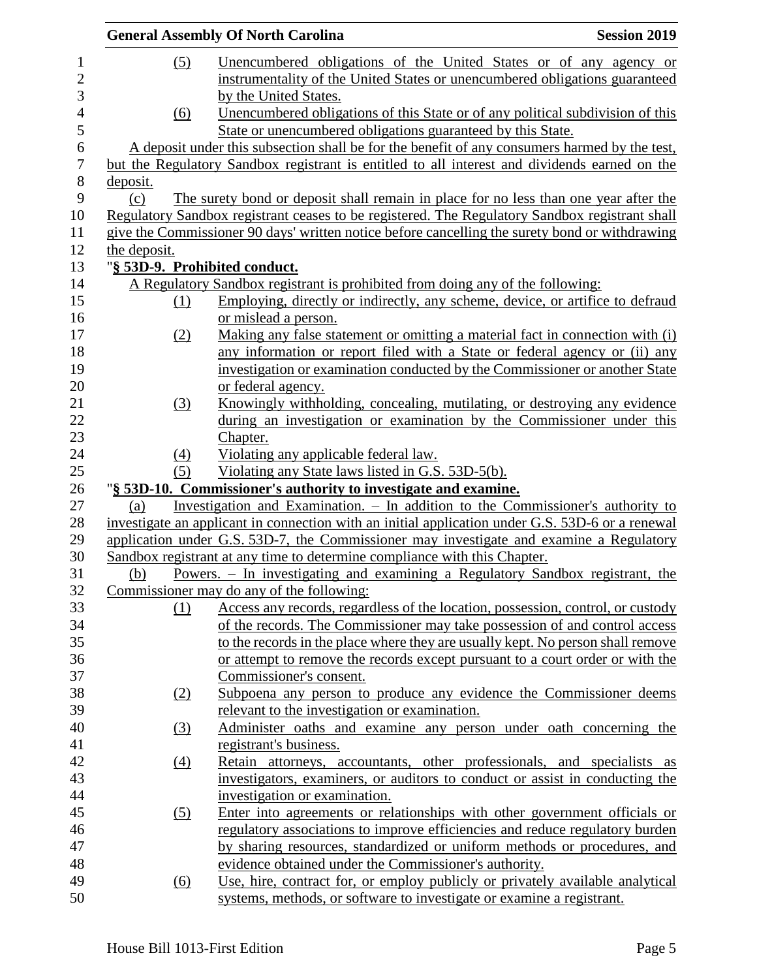|              |                  | <b>General Assembly Of North Carolina</b>                                                                                                                                             | <b>Session 2019</b> |
|--------------|------------------|---------------------------------------------------------------------------------------------------------------------------------------------------------------------------------------|---------------------|
|              | (5)              | Unencumbered obligations of the United States or of any agency or                                                                                                                     |                     |
|              |                  | instrumentality of the United States or unencumbered obligations guaranteed                                                                                                           |                     |
|              |                  | by the United States.                                                                                                                                                                 |                     |
|              | (6)              | Unencumbered obligations of this State or of any political subdivision of this                                                                                                        |                     |
|              |                  | State or unencumbered obligations guaranteed by this State.                                                                                                                           |                     |
|              |                  | A deposit under this subsection shall be for the benefit of any consumers harmed by the test,                                                                                         |                     |
|              |                  | but the Regulatory Sandbox registrant is entitled to all interest and dividends earned on the                                                                                         |                     |
| deposit.     |                  |                                                                                                                                                                                       |                     |
| (c)          |                  | The surety bond or deposit shall remain in place for no less than one year after the                                                                                                  |                     |
|              |                  | Regulatory Sandbox registrant ceases to be registered. The Regulatory Sandbox registrant shall                                                                                        |                     |
|              |                  | give the Commissioner 90 days' written notice before cancelling the surety bond or withdrawing                                                                                        |                     |
| the deposit. |                  |                                                                                                                                                                                       |                     |
|              |                  | "§ 53D-9. Prohibited conduct.                                                                                                                                                         |                     |
|              |                  | A Regulatory Sandbox registrant is prohibited from doing any of the following:                                                                                                        |                     |
|              | (1)              | Employing, directly or indirectly, any scheme, device, or artifice to defraud                                                                                                         |                     |
|              |                  | or mislead a person.                                                                                                                                                                  |                     |
|              | (2)              | Making any false statement or omitting a material fact in connection with (i)                                                                                                         |                     |
|              |                  | any information or report filed with a State or federal agency or (ii) any                                                                                                            |                     |
|              |                  | investigation or examination conducted by the Commissioner or another State                                                                                                           |                     |
|              |                  | or federal agency.                                                                                                                                                                    |                     |
|              | (3)              | Knowingly withholding, concealing, mutilating, or destroying any evidence                                                                                                             |                     |
|              |                  | during an investigation or examination by the Commissioner under this                                                                                                                 |                     |
|              |                  | Chapter.                                                                                                                                                                              |                     |
|              | (4)              | Violating any applicable federal law.                                                                                                                                                 |                     |
|              | (5)              | Violating any State laws listed in G.S. 53D-5(b).                                                                                                                                     |                     |
|              |                  | "§ 53D-10. Commissioner's authority to investigate and examine.                                                                                                                       |                     |
| (a)          |                  | Investigation and Examination. $-$ In addition to the Commissioner's authority to<br>investigate an applicant in connection with an initial application under G.S. 53D-6 or a renewal |                     |
|              |                  | application under G.S. 53D-7, the Commissioner may investigate and examine a Regulatory                                                                                               |                     |
|              |                  | Sandbox registrant at any time to determine compliance with this Chapter.                                                                                                             |                     |
| (b)          |                  | Powers. - In investigating and examining a Regulatory Sandbox registrant, the                                                                                                         |                     |
|              |                  | Commissioner may do any of the following:                                                                                                                                             |                     |
|              | (1)              | Access any records, regardless of the location, possession, control, or custody                                                                                                       |                     |
|              |                  | of the records. The Commissioner may take possession of and control access                                                                                                            |                     |
|              |                  | to the records in the place where they are usually kept. No person shall remove                                                                                                       |                     |
|              |                  | or attempt to remove the records except pursuant to a court order or with the                                                                                                         |                     |
|              |                  | Commissioner's consent.                                                                                                                                                               |                     |
|              | (2)              | Subpoena any person to produce any evidence the Commissioner deems                                                                                                                    |                     |
|              |                  | relevant to the investigation or examination.                                                                                                                                         |                     |
|              | (3)              | Administer oaths and examine any person under oath concerning the                                                                                                                     |                     |
|              |                  | registrant's business.                                                                                                                                                                |                     |
|              | $\left(4\right)$ | Retain attorneys, accountants, other professionals, and specialists as                                                                                                                |                     |
|              |                  | investigators, examiners, or auditors to conduct or assist in conducting the                                                                                                          |                     |
|              |                  | investigation or examination.                                                                                                                                                         |                     |
|              | (5)              | Enter into agreements or relationships with other government officials or                                                                                                             |                     |
|              |                  | regulatory associations to improve efficiencies and reduce regulatory burden                                                                                                          |                     |
|              |                  | by sharing resources, standardized or uniform methods or procedures, and                                                                                                              |                     |
|              |                  | evidence obtained under the Commissioner's authority.                                                                                                                                 |                     |
|              | (6)              | Use, hire, contract for, or employ publicly or privately available analytical                                                                                                         |                     |
|              |                  | systems, methods, or software to investigate or examine a registrant.                                                                                                                 |                     |
|              |                  |                                                                                                                                                                                       |                     |